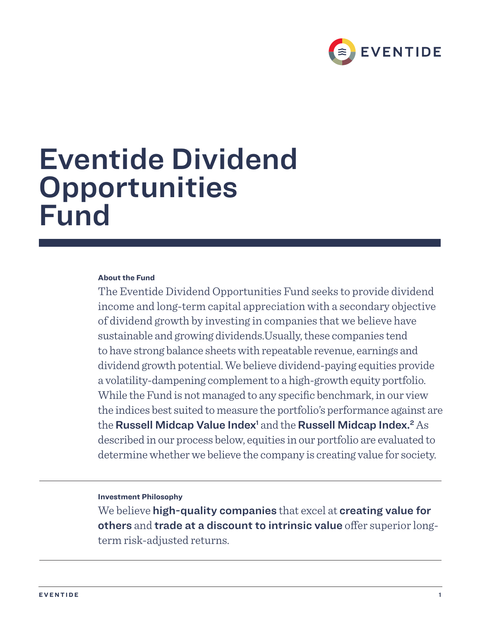

# Eventide Dividend **Opportunities** Fund

## **About the Fund**

The Eventide Dividend Opportunities Fund seeks to provide dividend income and long-term capital appreciation with a secondary objective of dividend growth by investing in companies that we believe have sustainable and growing dividends.Usually, these companies tend to have strong balance sheets with repeatable revenue, earnings and dividend growth potential. We believe dividend-paying equities provide a volatility-dampening complement to a high-growth equity portfolio. While the Fund is not managed to any specific benchmark, in our view the indices best suited to measure the portfolio's performance against are the Russell Midcap Value Index<sup>1</sup> and the Russell Midcap Index.<sup>2</sup> As described in our process below, equities in our portfolio are evaluated to determine whether we believe the company is creating value for society.

## **Investment Philosophy**

We believe high-quality companies that excel at creating value for others and trade at a discount to intrinsic value offer superior longterm risk-adjusted returns.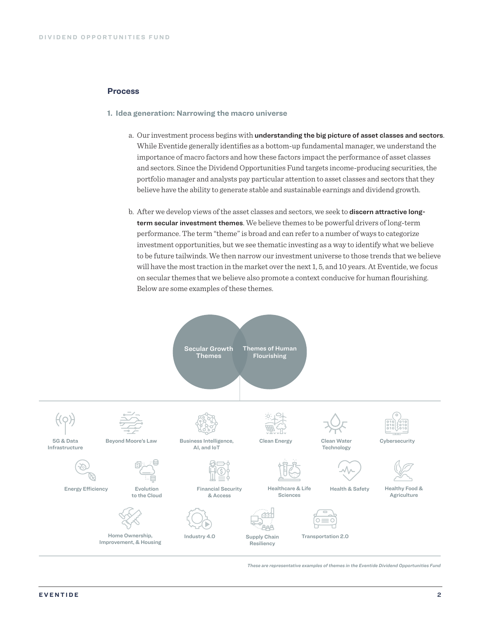## **Process**

- **1. Idea generation: Narrowing the macro universe**
	- a. Our investment process begins with understanding the big picture of asset classes and sectors. While Eventide generally identifies as a bottom-up fundamental manager, we understand the importance of macro factors and how these factors impact the performance of asset classes and sectors. Since the Dividend Opportunities Fund targets income-producing securities, the portfolio manager and analysts pay particular attention to asset classes and sectors that they believe have the ability to generate stable and sustainable earnings and dividend growth.
	- b. After we develop views of the asset classes and sectors, we seek to **discern attractive long**term secular investment themes. We believe themes to be powerful drivers of long-term performance. The term "theme" is broad and can refer to a number of ways to categorize investment opportunities, but we see thematic investing as a way to identify what we believe to be future tailwinds. We then narrow our investment universe to those trends that we believe will have the most traction in the market over the next 1, 5, and 10 years. At Eventide, we focus on secular themes that we believe also promote a context conducive for human flourishing. Below are some examples of these themes.



*These are representative examples of themes in the Eventide Dividend Opportunities Fund*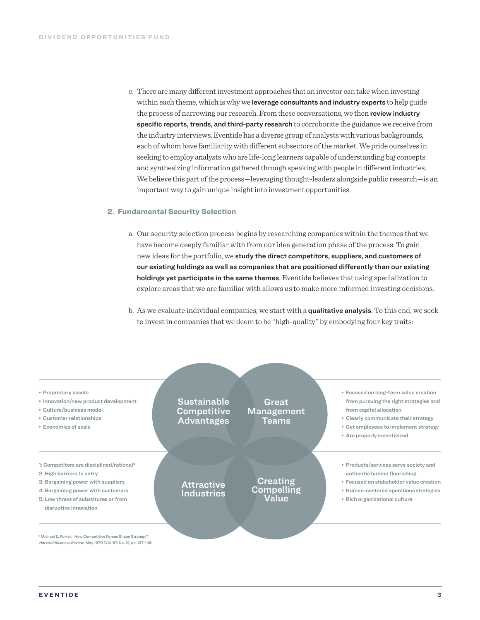c. There are many different investment approaches that an investor can take when investing within each theme, which is why we leverage consultants and industry experts to help guide the process of narrowing our research. From these conversations, we then review industry specific reports, trends, and third-party research to corroborate the guidance we receive from the industry interviews. Eventide has a diverse group of analysts with various backgrounds, each of whom have familiarity with different subsectors of the market. We pride ourselves in seeking to employ analysts who are life-long learners capable of understanding big concepts and synthesizing information gathered through speaking with people in different industries. We believe this part of the process—leveraging thought-leaders alongside public research—is an important way to gain unique insight into investment opportunities.

## **2. Fundamental Security Selection**

- a. Our security selection process begins by researching companies within the themes that we have become deeply familiar with from our idea generation phase of the process. To gain new ideas for the portfolio, we study the direct competitors, suppliers, and customers of our existing holdings as well as companies that are positioned differently than our existing holdings yet participate in the same themes. Eventide believes that using specialization to explore areas that we are familiar with allows us to make more informed investing decisions.
- b. As we evaluate individual companies, we start with a qualitative analysis. To this end, we seek to invest in companies that we deem to be "high-quality" by embodying four key traits:

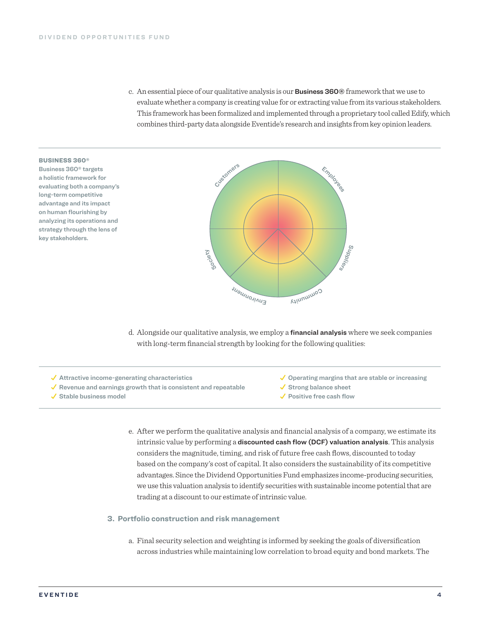c. An essential piece of our qualitative analysis is our Business 360® framework that we use to evaluate whether a company is creating value for or extracting value from its various stakeholders. This framework has been formalized and implemented through a proprietary tool called Edify, which combines third-party data alongside Eventide's research and insights from key opinion leaders.

#### BUSINESS 360®

Business 360® targets a holistic framework for evaluating both a company's long-term competitive advantage and its impact on human flourishing by analyzing its operations and strategy through the lens of key stakeholders.



d. Alongside our qualitative analysis, we employ a *financial analysis* where we seek companies with long-term financial strength by looking for the following qualities:

- $\checkmark$  Attractive income-generating characteristics
- $\checkmark$  Revenue and earnings growth that is consistent and repeatable
- Stable business model
- $\checkmark$  Operating margins that are stable or increasing
- $\checkmark$  Strong balance sheet
- Positive free cash flow
- e. After we perform the qualitative analysis and financial analysis of a company, we estimate its intrinsic value by performing a **discounted cash flow (DCF) valuation analysis**. This analysis considers the magnitude, timing, and risk of future free cash flows, discounted to today based on the company's cost of capital. It also considers the sustainability of its competitive advantages. Since the Dividend Opportunities Fund emphasizes income-producing securities, we use this valuation analysis to identify securities with sustainable income potential that are trading at a discount to our estimate of intrinsic value.

### **3. Portfolio construction and risk management**

a. Final security selection and weighting is informed by seeking the goals of diversification across industries while maintaining low correlation to broad equity and bond markets. The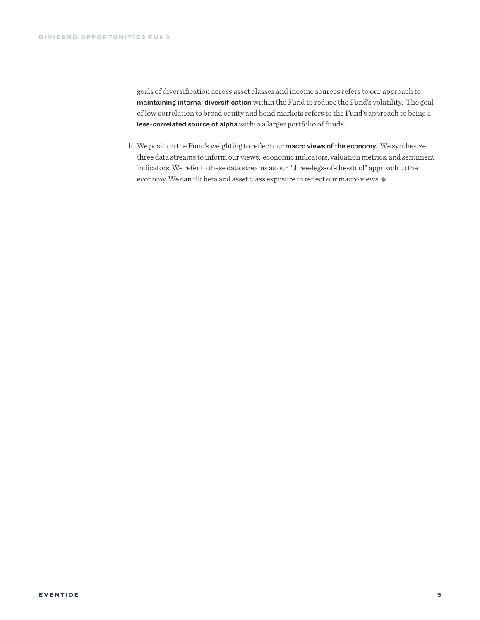goals of diversification across asset classes and income sources refers to our approach to maintaining internal diversification within the Fund to reduce the Fund's volatility. The goal of low correlation to broad equity and bond markets refers to the Fund's approach to being a less-correlated source of alpha within a larger portfolio of funds.

b. We position the Fund's weighting to reflect our macro views of the economy. We synthesize three data streams to inform our views: economic indicators, valuation metrics, and sentiment indicators. We refer to these data streams as our "three-legs-of-the-stool" approach to the economy. We can tilt beta and asset class exposure to reflect our macro views.  $\bullet$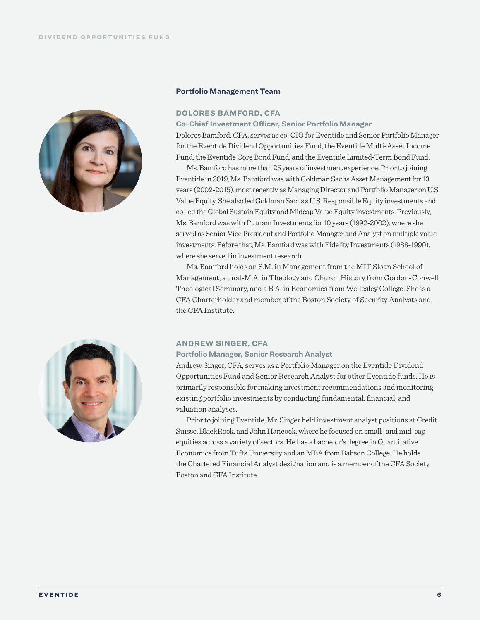

## **Portfolio Management Team**

## **DOLORES BAMFORD, CFA**

**Co-Chief Investment Officer, Senior Portfolio Manager**

Dolores Bamford, CFA, serves as co-CIO for Eventide and Senior Portfolio Manager for the Eventide Dividend Opportunities Fund, the Eventide Multi-Asset Income Fund, the Eventide Core Bond Fund, and the Eventide Limited-Term Bond Fund.

Ms. Bamford has more than 25 years of investment experience. Prior to joining Eventide in 2019, Ms. Bamford was with Goldman Sachs Asset Management for 13 years (2002-2015), most recently as Managing Director and Portfolio Manager on U.S. Value Equity. She also led Goldman Sachs's U.S. Responsible Equity investments and co-led the Global Sustain Equity and Midcap Value Equity investments. Previously, Ms. Bamford was with Putnam Investments for 10 years (1992-2002), where she served as Senior Vice President and Portfolio Manager and Analyst on multiple value investments. Before that, Ms. Bamford was with Fidelity Investments (1988-1990), where she served in investment research.

Ms. Bamford holds an S.M. in Management from the MIT Sloan School of Management, a dual-M.A. in Theology and Church History from Gordon-Conwell Theological Seminary, and a B.A. in Economics from Wellesley College. She is a CFA Charterholder and member of the Boston Society of Security Analysts and the CFA Institute.



### **ANDREW SINGER, CFA**

#### **Portfolio Manager, Senior Research Analyst**

Andrew Singer, CFA, serves as a Portfolio Manager on the Eventide Dividend Opportunities Fund and Senior Research Analyst for other Eventide funds. He is primarily responsible for making investment recommendations and monitoring existing portfolio investments by conducting fundamental, financial, and valuation analyses.

Prior to joining Eventide, Mr. Singer held investment analyst positions at Credit Suisse, BlackRock, and John Hancock, where he focused on small- and mid-cap equities across a variety of sectors. He has a bachelor's degree in Quantitative Economics from Tufts University and an MBA from Babson College. He holds the Chartered Financial Analyst designation and is a member of the CFA Society Boston and CFA Institute.